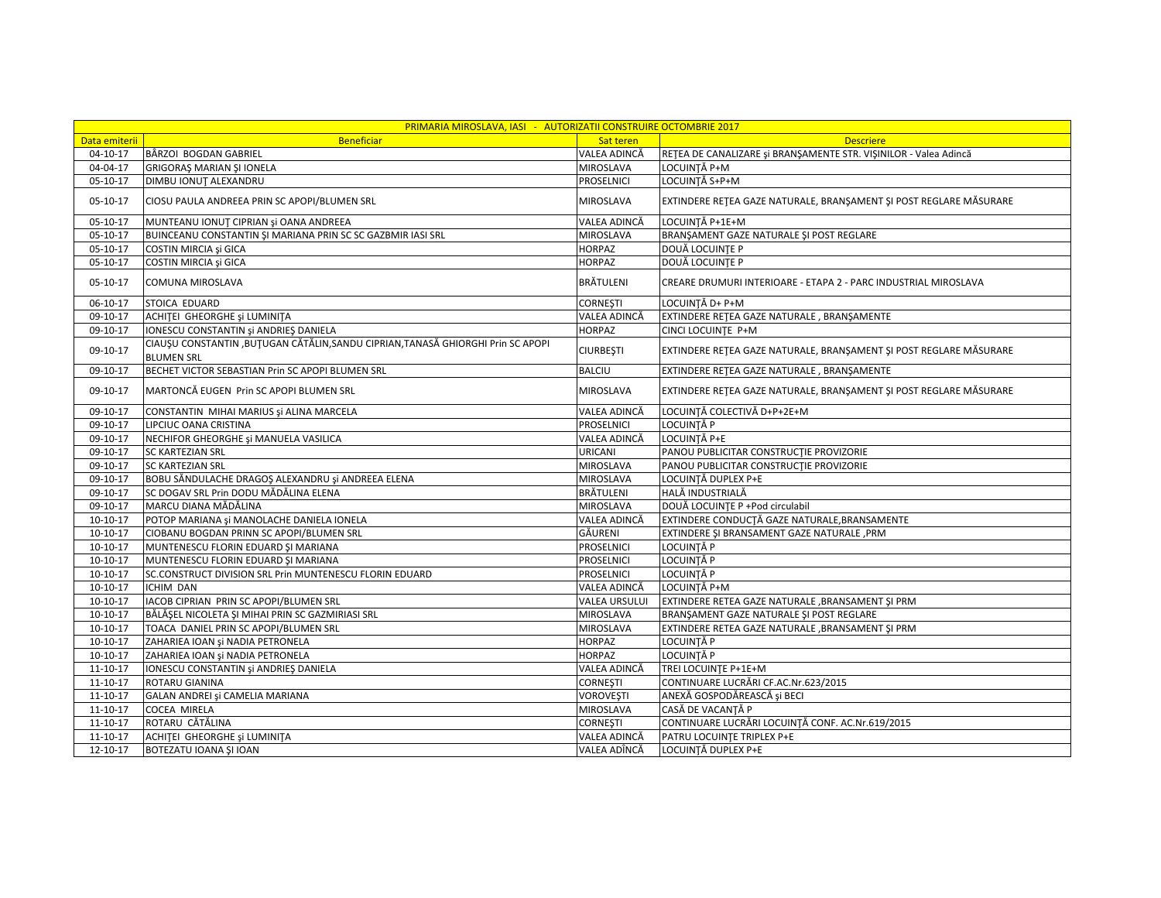| PRIMARIA MIROSLAVA, IASI - AUTORIZATII CONSTRUIRE OCTOMBRIE 2017 |                                                                                                        |                      |                                                                    |  |  |
|------------------------------------------------------------------|--------------------------------------------------------------------------------------------------------|----------------------|--------------------------------------------------------------------|--|--|
| Data emiterii                                                    | <b>Beneficiar</b>                                                                                      | Sat teren            | <b>Descriere</b>                                                   |  |  |
| $04 - 10 - 17$                                                   | BÂRZOI BOGDAN GABRIEL                                                                                  | VALEA ADINCĂ         | RETEA DE CANALIZARE și BRANȘAMENTE STR. VIȘINILOR - Valea Adincă   |  |  |
| 04-04-17                                                         | <b>GRIGORAȘ MARIAN ȘI IONELA</b>                                                                       | MIROSLAVA            | LOCUINTĂ P+M                                                       |  |  |
| 05-10-17                                                         | DIMBU IONUT ALEXANDRU                                                                                  | PROSELNICI           | LOCUINTĂ S+P+M                                                     |  |  |
| $05-10-17$                                                       | CIOSU PAULA ANDREEA PRIN SC APOPI/BLUMEN SRL                                                           | MIROSLAVA            | EXTINDERE RETEA GAZE NATURALE, BRANȘAMENT ȘI POST REGLARE MĂSURARE |  |  |
| 05-10-17                                                         | MUNTEANU IONUȚ CIPRIAN și OANA ANDREEA                                                                 | VALEA ADINCĂ         | LOCUINȚĂ P+1E+M                                                    |  |  |
| $05 - 10 - 17$                                                   | BUINCEANU CONSTANTIN ȘI MARIANA PRIN SC SC GAZBMIR IASI SRL                                            | MIROSLAVA            | BRANŞAMENT GAZE NATURALE ŞI POST REGLARE                           |  |  |
| 05-10-17                                                         | COSTIN MIRCIA și GICA                                                                                  | <b>HORPAZ</b>        | DOUĂ LOCUINȚE P                                                    |  |  |
| 05-10-17                                                         | COSTIN MIRCIA și GICA                                                                                  | <b>HORPAZ</b>        | DOUĂ LOCUINTE P                                                    |  |  |
| $05-10-17$                                                       | COMUNA MIROSLAVA                                                                                       | BRĂTULENI            | CREARE DRUMURI INTERIOARE - ETAPA 2 - PARC INDUSTRIAL MIROSLAVA    |  |  |
| 06-10-17                                                         | STOICA EDUARD                                                                                          | <b>CORNESTI</b>      | LOCUINȚĂ D+ P+M                                                    |  |  |
| 09-10-17                                                         | ACHITEI GHEORGHE și LUMINITA                                                                           | VALEA ADINCĂ         | EXTINDERE RETEA GAZE NATURALE, BRANŞAMENTE                         |  |  |
| 09-10-17                                                         | IONESCU CONSTANTIN și ANDRIEȘ DANIELA                                                                  | <b>HORPAZ</b>        | CINCI LOCUINTE P+M                                                 |  |  |
| 09-10-17                                                         | CIAUSU CONSTANTIN , BUTUGAN CĂTĂLIN, SANDU CIPRIAN, TANASĂ GHIORGHI Prin SC APOPI<br><b>BLUMEN SRL</b> | <b>CIURBEȘTI</b>     | EXTINDERE RETEA GAZE NATURALE, BRANŞAMENT ŞI POST REGLARE MĂSURARE |  |  |
| 09-10-17                                                         | BECHET VICTOR SEBASTIAN Prin SC APOPI BLUMEN SRL                                                       | <b>BALCIU</b>        | EXTINDERE RETEA GAZE NATURALE, BRANSAMENTE                         |  |  |
| 09-10-17                                                         | MARTONCĂ EUGEN Prin SC APOPI BLUMEN SRL                                                                | MIROSLAVA            | EXTINDERE RETEA GAZE NATURALE, BRANSAMENT ȘI POST REGLARE MĂSURARE |  |  |
| 09-10-17                                                         | CONSTANTIN MIHAI MARIUS și ALINA MARCELA                                                               | VALEA ADINCĂ         | LOCUINȚĂ COLECTIVĂ D+P+2E+M                                        |  |  |
| 09-10-17                                                         | LIPCIUC OANA CRISTINA                                                                                  | PROSELNICI           | LOCUINTĂ P                                                         |  |  |
| 09-10-17                                                         | NECHIFOR GHEORGHE și MANUELA VASILICA                                                                  | VALEA ADINCĂ         | LOCUINTĂ P+E                                                       |  |  |
| 09-10-17                                                         | <b>SC KARTEZIAN SRL</b>                                                                                | URICANI              | PANOU PUBLICITAR CONSTRUCTIE PROVIZORIE                            |  |  |
| 09-10-17                                                         | <b>SC KARTEZIAN SRL</b>                                                                                | MIROSLAVA            | PANOU PUBLICITAR CONSTRUCTIE PROVIZORIE                            |  |  |
| 09-10-17                                                         | BOBU SĂNDULACHE DRAGOȘ ALEXANDRU și ANDREEA ELENA                                                      | MIROSLAVA            | LOCUINȚĂ DUPLEX P+E                                                |  |  |
| 09-10-17                                                         | SC DOGAV SRL Prin DODU MĂDĂLINA ELENA                                                                  | BRĂTULENI            | HALĂ INDUSTRIALĂ                                                   |  |  |
| 09-10-17                                                         | MARCU DIANA MĂDĂLINA                                                                                   | MIROSLAVA            | DOUĂ LOCUINȚE P +Pod circulabil                                    |  |  |
| $10-10-17$                                                       | POTOP MARIANA și MANOLACHE DANIELA IONELA                                                              | VALEA ADINCĂ         | EXTINDERE CONDUCȚĂ GAZE NATURALE, BRANSAMENTE                      |  |  |
| $10-10-17$                                                       | CIOBANU BOGDAN PRINN SC APOPI/BLUMEN SRL                                                               | GÄURENI              | EXTINDERE ȘI BRANSAMENT GAZE NATURALE, PRM                         |  |  |
| $10-10-17$                                                       | MUNTENESCU FLORIN EDUARD ȘI MARIANA                                                                    | PROSELNICI           | LOCUINTĂ P                                                         |  |  |
| $10-10-17$                                                       | MUNTENESCU FLORIN EDUARD ȘI MARIANA                                                                    | PROSELNICI           | LOCUINTĂ P                                                         |  |  |
| $10-10-17$                                                       | SC.CONSTRUCT DIVISION SRL Prin MUNTENESCU FLORIN EDUARD                                                | <b>PROSELNICI</b>    | LOCUINȚĂ P                                                         |  |  |
| $10-10-17$                                                       | <b>ICHIM DAN</b>                                                                                       | VALEA ADINCĂ         | LOCUINȚĂ P+M                                                       |  |  |
| $10-10-17$                                                       | IACOB CIPRIAN PRIN SC APOPI/BLUMEN SRL                                                                 | <b>VALEA URSULUI</b> | EXTINDERE RETEA GAZE NATURALE, BRANSAMENT SI PRM                   |  |  |
| $10-10-17$                                                       | BĂLĂȘEL NICOLETA ȘI MIHAI PRIN SC GAZMIRIASI SRL                                                       | MIROSLAVA            | BRANŞAMENT GAZE NATURALE ŞI POST REGLARE                           |  |  |
| $10-10-17$                                                       | TOACA DANIEL PRIN SC APOPI/BLUMEN SRL                                                                  | MIROSLAVA            | EXTINDERE RETEA GAZE NATURALE , BRANSAMENT SI PRM                  |  |  |
| $10-10-17$                                                       | ZAHARIEA IOAN și NADIA PETRONELA                                                                       | <b>HORPAZ</b>        | LOCUINTĂ P                                                         |  |  |
| $10-10-17$                                                       | ZAHARIEA IOAN și NADIA PETRONELA                                                                       | <b>HORPAZ</b>        | LOCUINȚĂ P                                                         |  |  |
| 11-10-17                                                         | IONESCU CONSTANTIN și ANDRIEȘ DANIELA                                                                  | VALEA ADINCĂ         | TREI LOCUINTE P+1E+M                                               |  |  |
| 11-10-17                                                         | <b>ROTARU GIANINA</b>                                                                                  | <b>CORNEȘTI</b>      | CONTINUARE LUCRĂRI CF.AC.Nr.623/2015                               |  |  |
| 11-10-17                                                         | GALAN ANDREI și CAMELIA MARIANA                                                                        | <b>VOROVEȘTI</b>     | ANEXĂ GOSPODĂREASCĂ și BECI                                        |  |  |
| 11-10-17                                                         | <b>COCEA MIRELA</b>                                                                                    | MIROSLAVA            | CASĂ DE VACANȚĂ P                                                  |  |  |
| 11-10-17                                                         | ROTARU CĂTĂLINA                                                                                        | CORNEȘTI             | CONTINUARE LUCRĂRI LOCUINȚĂ CONF. AC.Nr.619/2015                   |  |  |
| 11-10-17                                                         | ACHITEI GHEORGHE și LUMINITA                                                                           | VALEA ADINCĂ         | PATRU LOCUINTE TRIPLEX P+E                                         |  |  |
| 12-10-17                                                         | BOTEZATU IOANA ȘI IOAN                                                                                 | VALEA ADÎNCĂ         | LOCUINȚĂ DUPLEX P+E                                                |  |  |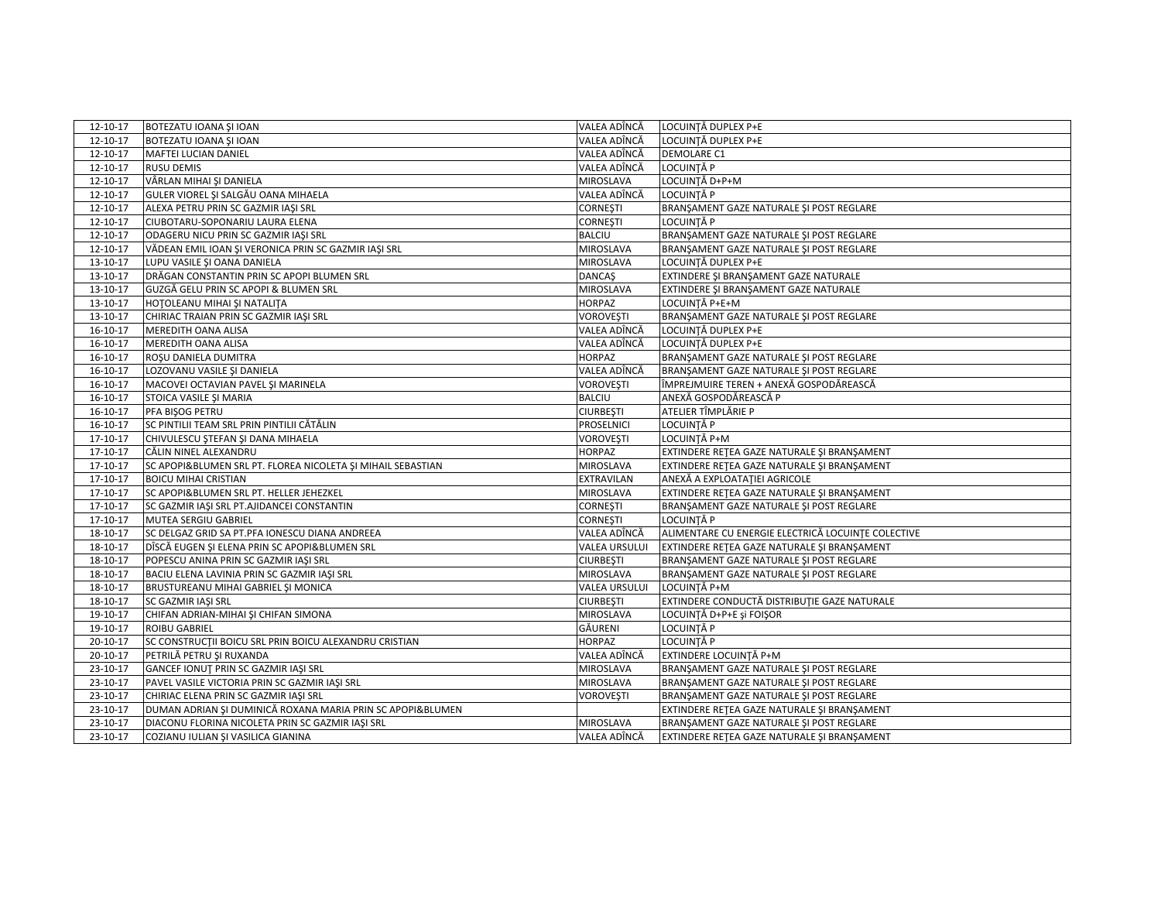| 12-10-17       | BOTEZATU IOANA ȘI IOAN                                      | VALEA ADÎNCĂ         | LOCUINTĂ DUPLEX P+E                                |
|----------------|-------------------------------------------------------------|----------------------|----------------------------------------------------|
| 12-10-17       | BOTEZATU IOANA ȘI IOAN                                      | VALEA ADÎNCĂ         | LOCUINȚĂ DUPLEX P+E                                |
| 12-10-17       | MAFTEI LUCIAN DANIEL                                        | VALEA ADÎNCĂ         | DEMOLARE C1                                        |
| 12-10-17       | RUSU DEMIS                                                  | VALEA ADÎNCĂ         | LOCUINTĂ P                                         |
| 12-10-17       | VÂRLAN MIHAI ȘI DANIELA                                     | MIROSLAVA            | LOCUINȚĂ D+P+M                                     |
| 12-10-17       | GULER VIOREL ȘI SALGĂU OANA MIHAELA                         | VALEA ADÎNCĂ         | LOCUINTĂ P                                         |
| 12-10-17       | ALEXA PETRU PRIN SC GAZMIR IAŞI SRL                         | <b>CORNESTI</b>      | BRANSAMENT GAZE NATURALE SI POST REGLARE           |
| 12-10-17       | CIUBOTARU-SOPONARIU LAURA ELENA                             | <b>CORNESTI</b>      | LOCUINTĂ P                                         |
| 12-10-17       | ODAGERU NICU PRIN SC GAZMIR IASI SRL                        | <b>BALCIU</b>        | BRANŞAMENT GAZE NATURALE ŞI POST REGLARE           |
| 12-10-17       | VĂDEAN EMIL IOAN ȘI VERONICA PRIN SC GAZMIR IAȘI SRL        | MIROSLAVA            | BRANSAMENT GAZE NATURALE ȘI POST REGLARE           |
| $13 - 10 - 17$ | LUPU VASILE ȘI OANA DANIELA                                 | MIROSLAVA            | LOCUINȚĂ DUPLEX P+E                                |
| 13-10-17       | DRĂGAN CONSTANTIN PRIN SC APOPI BLUMEN SRL                  | <b>DANCAS</b>        | EXTINDERE ȘI BRANȘAMENT GAZE NATURALE              |
| 13-10-17       | GUZGĂ GELU PRIN SC APOPI & BLUMEN SRL                       | MIROSLAVA            | EXTINDERE ȘI BRANȘAMENT GAZE NATURALE              |
| 13-10-17       | HOTOLEANU MIHAI ȘI NATALIȚA                                 | <b>HORPAZ</b>        | LOCUINȚĂ P+E+M                                     |
| 13-10-17       | CHIRIAC TRAIAN PRIN SC GAZMIR IAŞI SRL                      | <b>VOROVESTI</b>     | BRANSAMENT GAZE NATURALE SI POST REGLARE           |
| 16-10-17       | MEREDITH OANA ALISA                                         | VALEA ADÎNCĂ         | LOCUINȚĂ DUPLEX P+E                                |
| 16-10-17       | MEREDITH OANA ALISA                                         | VALEA ADÎNCĂ         | LOCUINTĂ DUPLEX P+E                                |
| 16-10-17       | ROȘU DANIELA DUMITRA                                        | <b>HORPAZ</b>        | BRANSAMENT GAZE NATURALE ȘI POST REGLARE           |
| 16-10-17       | LOZOVANU VASILE ȘI DANIELA                                  | VALEA ADÎNCĂ         | BRANSAMENT GAZE NATURALE ȘI POST REGLARE           |
| 16-10-17       | MACOVEI OCTAVIAN PAVEL ȘI MARINELA                          | <b>VOROVEŞTI</b>     | ÎMPREJMUIRE TEREN + ANEXĂ GOSPODĂREASCĂ            |
| 16-10-17       | STOICA VASILE ȘI MARIA                                      | <b>BALCIU</b>        | ANEXĂ GOSPODĂREASCĂ P                              |
| 16-10-17       | PFA BIŞOG PETRU                                             | <b>CIURBEȘTI</b>     | ATELIER TÎMPLĂRIE P                                |
| 16-10-17       | SC PINTILII TEAM SRL PRIN PINTILII CĂTĂLIN                  | PROSELNICI           | LOCUINTĂ P                                         |
| 17-10-17       | CHIVULESCU ȘTEFAN ȘI DANA MIHAELA                           | <b>VOROVEȘTI</b>     | LOCUINȚĂ P+M                                       |
| 17-10-17       | CĂLIN NINEL ALEXANDRU                                       | <b>HORPAZ</b>        | EXTINDERE RETEA GAZE NATURALE ȘI BRANȘAMENT        |
| $17-10-17$     | SC APOPI&BLUMEN SRL PT. FLOREA NICOLETA ȘI MIHAIL SEBASTIAN | MIROSLAVA            | EXTINDERE RETEA GAZE NATURALE ȘI BRANȘAMENT        |
| 17-10-17       | <b>BOICU MIHAI CRISTIAN</b>                                 | <b>EXTRAVILAN</b>    | ANEXĂ A EXPLOATAȚIEI AGRICOLE                      |
| $17-10-17$     | SC APOPI&BLUMEN SRL PT. HELLER JEHEZKEL                     | MIROSLAVA            | EXTINDERE RETEA GAZE NATURALE ȘI BRANȘAMENT        |
| 17-10-17       | SC GAZMIR IAȘI SRL PT.AJIDANCEI CONSTANTIN                  | <b>CORNESTI</b>      | BRANŞAMENT GAZE NATURALE ŞI POST REGLARE           |
| 17-10-17       | MUTEA SERGIU GABRIEL                                        | <b>CORNEȘTI</b>      | LOCUINTĂ P                                         |
| 18-10-17       | SC DELGAZ GRID SA PT.PFA IONESCU DIANA ANDREEA              | VALEA ADÎNCĂ         | ALIMENTARE CU ENERGIE ELECTRICĂ LOCUINȚE COLECTIVE |
| 18-10-17       | DÎSCĂ EUGEN ȘI ELENA PRIN SC APOPI&BLUMEN SRL               | <b>VALEA URSULUI</b> | EXTINDERE RETEA GAZE NATURALE ȘI BRANȘAMENT        |
| 18-10-17       | POPESCU ANINA PRIN SC GAZMIR IAȘI SRL                       | <b>CIURBEȘTI</b>     | BRANŞAMENT GAZE NATURALE ŞI POST REGLARE           |
| 18-10-17       | BACIU ELENA LAVINIA PRIN SC GAZMIR IAȘI SRL                 | <b>MIROSLAVA</b>     | BRANSAMENT GAZE NATURALE SI POST REGLARE           |
| 18-10-17       | BRUSTUREANU MIHAI GABRIEL ȘI MONICA                         | <b>VALEA URSULUI</b> | LOCUINȚĂ P+M                                       |
| 18-10-17       | SC GAZMIR IASI SRL                                          | <b>CIURBEȘTI</b>     | EXTINDERE CONDUCTĂ DISTRIBUȚIE GAZE NATURALE       |
| 19-10-17       | CHIFAN ADRIAN-MIHAI ȘI CHIFAN SIMONA                        | <b>MIROSLAVA</b>     | LOCUINȚĂ D+P+E și FOIȘOR                           |
| 19-10-17       | ROIBU GABRIEL                                               | GĂURENI              | LOCUINȚĂ P                                         |
| 20-10-17       | SC CONSTRUCTII BOICU SRL PRIN BOICU ALEXANDRU CRISTIAN      | <b>HORPAZ</b>        | LOCUINTĂ P                                         |
| 20-10-17       | PETRILĂ PETRU ȘI RUXANDA                                    | VALEA ADÎNCĂ         | <b>EXTINDERE LOCUINTĂ P+M</b>                      |
| 23-10-17       | GANCEF IONUT PRIN SC GAZMIR IAŞI SRL                        | MIROSLAVA            | BRANŞAMENT GAZE NATURALE ŞI POST REGLARE           |
| 23-10-17       | PAVEL VASILE VICTORIA PRIN SC GAZMIR IAŞI SRL               | MIROSLAVA            | BRANSAMENT GAZE NATURALE SI POST REGLARE           |
| 23-10-17       | CHIRIAC ELENA PRIN SC GAZMIR IAŞI SRL                       | <b>VOROVEŞTI</b>     | BRANŞAMENT GAZE NATURALE ŞI POST REGLARE           |
| 23-10-17       | DUMAN ADRIAN ȘI DUMINICĂ ROXANA MARIA PRIN SC APOPI&BLUMEN  |                      | EXTINDERE RETEA GAZE NATURALE ȘI BRANȘAMENT        |
| 23-10-17       | DIACONU FLORINA NICOLETA PRIN SC GAZMIR IASI SRL            | MIROSLAVA            | BRANŞAMENT GAZE NATURALE ŞI POST REGLARE           |
| 23-10-17       | COZIANU IULIAN ȘI VASILICA GIANINA                          | VALEA ADÎNCĂ         | EXTINDERE RETEA GAZE NATURALE ȘI BRANȘAMENT        |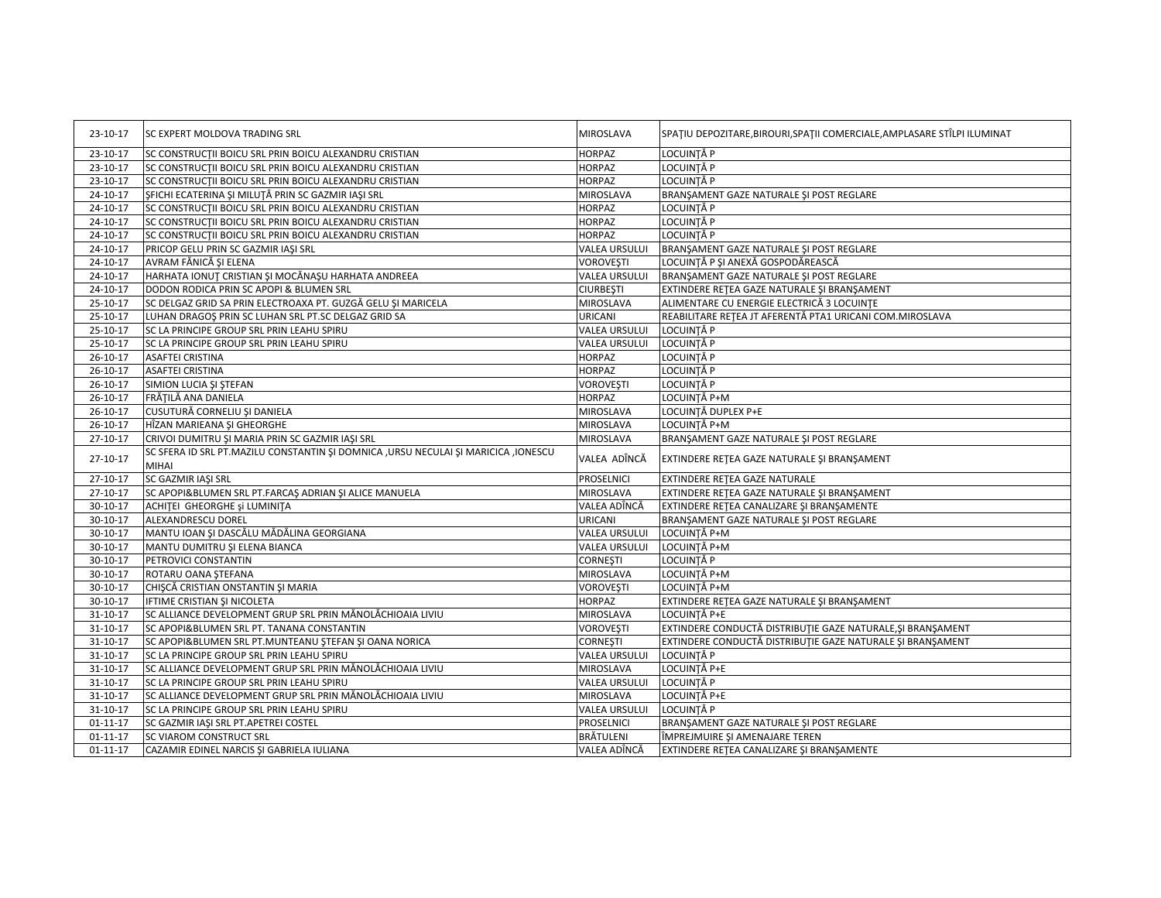| 23-10-17       | <b>ISC EXPERT MOLDOVA TRADING SRL</b>                                                       | MIROSLAVA            | SPATIU DEPOZITARE, BIROURI, SPATII COMERCIALE, AMPLASARE STÎLPI ILUMINAT |
|----------------|---------------------------------------------------------------------------------------------|----------------------|--------------------------------------------------------------------------|
| 23-10-17       | SC CONSTRUCTII BOICU SRL PRIN BOICU ALEXANDRU CRISTIAN                                      | <b>HORPAZ</b>        | LOCUINTĂ P                                                               |
| 23-10-17       | SC CONSTRUCTII BOICU SRL PRIN BOICU ALEXANDRU CRISTIAN                                      | <b>HORPAZ</b>        | LOCUINTĂ P                                                               |
| 23-10-17       | SC CONSTRUCTII BOICU SRL PRIN BOICU ALEXANDRU CRISTIAN                                      | <b>HORPAZ</b>        | LOCUINTĂ P                                                               |
| 24-10-17       | ȘFICHI ECATERINA ȘI MILUȚĂ PRIN SC GAZMIR IAȘI SRL                                          | MIROSLAVA            | BRANŞAMENT GAZE NATURALE ŞI POST REGLARE                                 |
| 24-10-17       | SC CONSTRUCTII BOICU SRL PRIN BOICU ALEXANDRU CRISTIAN                                      | <b>HORPAZ</b>        | LOCUINTĂ P                                                               |
| 24-10-17       | SC CONSTRUCTII BOICU SRL PRIN BOICU ALEXANDRU CRISTIAN                                      | <b>HORPAZ</b>        | LOCUINTĂ P                                                               |
| 24-10-17       | SC CONSTRUCTII BOICU SRL PRIN BOICU ALEXANDRU CRISTIAN                                      | <b>HORPAZ</b>        | LOCUINTĂ P                                                               |
| 24-10-17       | PRICOP GELU PRIN SC GAZMIR IAŞI SRL                                                         | VALEA URSULUI        | BRANŞAMENT GAZE NATURALE ŞI POST REGLARE                                 |
| 24-10-17       | AVRAM FĂNICĂ ȘI ELENA                                                                       | VOROVEȘTI            | LOCUINȚĂ P ȘI ANEXĂ GOSPODĂREASCĂ                                        |
| 24-10-17       | HARHATA IONUȚ CRISTIAN ȘI MOCĂNAȘU HARHATA ANDREEA                                          | VALEA URSULUI        | BRANSAMENT GAZE NATURALE SI POST REGLARE                                 |
| 24-10-17       | DODON RODICA PRIN SC APOPI & BLUMEN SRL                                                     | <b>CIURBEȘTI</b>     | EXTINDERE RETEA GAZE NATURALE ȘI BRANȘAMENT                              |
| 25-10-17       | SC DELGAZ GRID SA PRIN ELECTROAXA PT. GUZGĂ GELU ȘI MARICELA                                | MIROSLAVA            | ALIMENTARE CU ENERGIE ELECTRICĂ 3 LOCUINȚE                               |
| 25-10-17       | LUHAN DRAGOS PRIN SC LUHAN SRL PT.SC DELGAZ GRID SA                                         | URICANI              | REABILITARE REȚEA JT AFERENTĂ PTA1 URICANI COM.MIROSLAVA                 |
| 25-10-17       | SC LA PRINCIPE GROUP SRL PRIN LEAHU SPIRU                                                   | VALEA URSULUI        | LOCUINTĂ P                                                               |
| 25-10-17       | SC LA PRINCIPE GROUP SRL PRIN LEAHU SPIRU                                                   | VALEA URSULUI        | LOCUINTĂ P                                                               |
| 26-10-17       | <b>ASAFTEI CRISTINA</b>                                                                     | <b>HORPAZ</b>        | LOCUINȚĂ P                                                               |
| 26-10-17       | <b>ASAFTEI CRISTINA</b>                                                                     | <b>HORPAZ</b>        | LOCUINȚĂ P                                                               |
| $26 - 10 - 17$ | SIMION LUCIA ȘI ȘTEFAN                                                                      | VOROVEȘTI            | LOCUINTĂ P                                                               |
| 26-10-17       | FRĂȚILĂ ANA DANIELA                                                                         | <b>HORPAZ</b>        | LOCUINTĂ P+M                                                             |
| 26-10-17       | CUSUTURĂ CORNELIU ȘI DANIELA                                                                | MIROSLAVA            | LOCUINȚĂ DUPLEX P+E                                                      |
| 26-10-17       | HÎZAN MARIEANA ȘI GHEORGHE                                                                  | MIROSLAVA            | LOCUINTĂ P+M                                                             |
| 27-10-17       | CRIVOI DUMITRU ȘI MARIA PRIN SC GAZMIR IAȘI SRL                                             | MIROSLAVA            | BRANŞAMENT GAZE NATURALE ŞI POST REGLARE                                 |
| $27 - 10 - 17$ | SC SFERA ID SRL PT.MAZILU CONSTANTIN SI DOMNICA ,URSU NECULAI SI MARICICA ,IONESCU<br>MIHAI | VALEA ADÎNCĂ         | EXTINDERE RETEA GAZE NATURALE ȘI BRANȘAMENT                              |
| 27-10-17       | <b>SC GAZMIR IASI SRL</b>                                                                   | PROSELNICI           | EXTINDERE RETEA GAZE NATURALE                                            |
| 27-10-17       | SC APOPI&BLUMEN SRL PT.FARCAŞ ADRIAN ŞI ALICE MANUELA                                       | MIROSLAVA            | EXTINDERE REȚEA GAZE NATURALE ȘI BRANȘAMENT                              |
| 30-10-17       | ACHITEI GHEORGHE și LUMINITA                                                                | VALEA ADÎNCĂ         | EXTINDERE REȚEA CANALIZARE ȘI BRANȘAMENTE                                |
| 30-10-17       | ALEXANDRESCU DOREL                                                                          | URICANI              | BRANŞAMENT GAZE NATURALE ŞI POST REGLARE                                 |
| 30-10-17       | MANTU IOAN ȘI DASCĂLU MĂDĂLINA GEORGIANA                                                    | VALEA URSULUI        | LOCUINȚĂ P+M                                                             |
| 30-10-17       | MANTU DUMITRU ȘI ELENA BIANCA                                                               | <b>VALEA URSULUI</b> | LOCUINȚĂ P+M                                                             |
| 30-10-17       | PETROVICI CONSTANTIN                                                                        | <b>CORNESTI</b>      | LOCUINTĂ P                                                               |
| 30-10-17       | ROTARU OANA STEFANA                                                                         | MIROSLAVA            | LOCUINTĂ P+M                                                             |
| 30-10-17       | CHIȘCĂ CRISTIAN ONSTANTIN ȘI MARIA                                                          | VOROVEȘTI            | LOCUINTĂ P+M                                                             |
| 30-10-17       | IFTIME CRISTIAN SI NICOLETA                                                                 | <b>HORPAZ</b>        | EXTINDERE RETEA GAZE NATURALE ȘI BRANȘAMENT                              |
| $31 - 10 - 17$ | SC ALLIANCE DEVELOPMENT GRUP SRL PRIN MĂNOLĂCHIOAIA LIVIU                                   | MIROSLAVA            | LOCUINȚĂ P+E                                                             |
| 31-10-17       | SC APOPI&BLUMEN SRL PT. TANANA CONSTANTIN                                                   | VOROVEȘTI            | EXTINDERE CONDUCTĂ DISTRIBUȚIE GAZE NATURALE, ȘI BRANȘAMENT              |
| 31-10-17       | SC APOPI&BLUMEN SRL PT.MUNTEANU STEFAN ȘI OANA NORICA                                       | <b>CORNEȘTI</b>      | EXTINDERE CONDUCTĂ DISTRIBUȚIE GAZE NATURALE ȘI BRANȘAMENT               |
| $31 - 10 - 17$ | SC LA PRINCIPE GROUP SRL PRIN LEAHU SPIRU                                                   | VALEA URSULUI        | LOCUINTĂ P                                                               |
| $31 - 10 - 17$ | SC ALLIANCE DEVELOPMENT GRUP SRL PRIN MĂNOLĂCHIOAIA LIVIU                                   | MIROSLAVA            | LOCUINTĂ P+E                                                             |
| $31 - 10 - 17$ | SC LA PRINCIPE GROUP SRL PRIN LEAHU SPIRU                                                   | <b>VALEA URSULUI</b> | LOCUINTĂ P                                                               |
| $31 - 10 - 17$ | SC ALLIANCE DEVELOPMENT GRUP SRL PRIN MĂNOLĂCHIOAIA LIVIU                                   | MIROSLAVA            | LOCUINTĂ P+E                                                             |
| 31-10-17       | SC LA PRINCIPE GROUP SRL PRIN LEAHU SPIRU                                                   | VALEA URSULUI        | LOCUINTĂ P                                                               |
| $01 - 11 - 17$ | SC GAZMIR IAȘI SRL PT.APETREI COSTEL                                                        | PROSELNICI           | BRANŞAMENT GAZE NATURALE ŞI POST REGLARE                                 |
| $01 - 11 - 17$ | <b>SC VIAROM CONSTRUCT SRL</b>                                                              | BRĂTULENI            | ÎMPREJMUIRE ȘI AMENAJARE TEREN                                           |
| $01 - 11 - 17$ | CAZAMIR EDINEL NARCIS ȘI GABRIELA IULIANA                                                   | VALEA ADÎNCĂ         | EXTINDERE RETEA CANALIZARE ȘI BRANȘAMENTE                                |